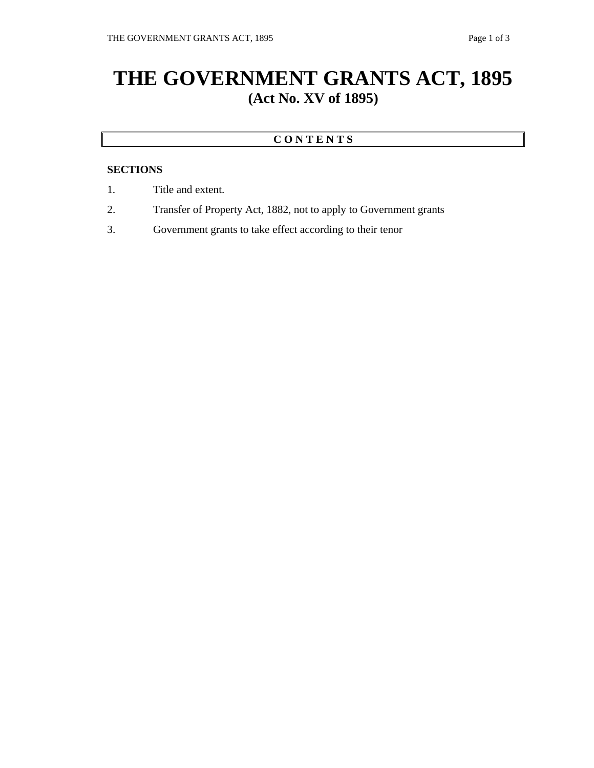## **THE GOVERNMENT GRANTS ACT, 1895 (Act No. XV of 1895)**

## **C O N T E N T S**

## **SECTIONS**

- 1. Title and extent.
- 2. Transfer of Property Act, 1882, not to apply to Government grants
- 3. Government grants to take effect according to their tenor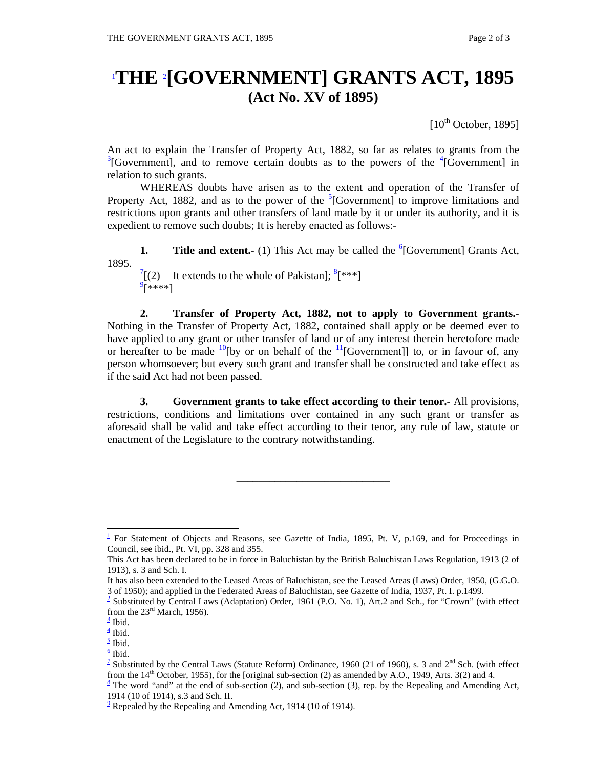## 1 **THE** <sup>2</sup> **[GOVERNMENT] GRANTS ACT, 1895 (Act No. XV of 1895)**

 $[10^{th}$  October, 1895]

An act to explain the Transfer of Property Act, 1882, so far as relates to grants from the  $\frac{3}{2}$ [Government], and to remove certain doubts as to the powers of the  $\frac{4}{3}$ [Government] in relation to such grants.

 WHEREAS doubts have arisen as to the extent and operation of the Transfer of Property Act, 1882, and as to the power of the  ${}^{5}$ [Government] to improve limitations and restrictions upon grants and other transfers of land made by it or under its authority, and it is expedient to remove such doubts; It is hereby enacted as follows:-

**1.** Title and extent.- (1) This Act may be called the  ${}^6$ [Government] Grants Act, 1895.

 $\frac{7}{2}$ [(2) It extends to the whole of Pakistan];  $\frac{8}{5}$ [\*\*\*]  $\frac{9}{5}$  \*\*\*\*]

 **2. Transfer of Property Act, 1882, not to apply to Government grants.-**  Nothing in the Transfer of Property Act, 1882, contained shall apply or be deemed ever to have applied to any grant or other transfer of land or of any interest therein heretofore made or hereafter to be made  $\frac{10}{2}$  by or on behalf of the  $\frac{11}{2}$ [Government]] to, or in favour of, any person whomsoever; but every such grant and transfer shall be constructed and take effect as if the said Act had not been passed.

 **3. Government grants to take effect according to their tenor.-** All provisions, restrictions, conditions and limitations over contained in any such grant or transfer as aforesaid shall be valid and take effect according to their tenor, any rule of law, statute or enactment of the Legislature to the contrary notwithstanding.

\_\_\_\_\_\_\_\_\_\_\_\_\_\_\_\_\_\_\_\_\_\_\_\_\_\_\_\_

<sup>&</sup>lt;sup>1</sup> For Statement of Objects and Reasons, see Gazette of India, 1895, Pt. V, p.169, and for Proceedings in Council, see ibid., Pt. VI, pp. 328 and 355.

This Act has been declared to be in force in Baluchistan by the British Baluchistan Laws Regulation, 1913 (2 of 1913), s. 3 and Sch. I.

It has also been extended to the Leased Areas of Baluchistan, see the Leased Areas (Laws) Order, 1950, (G.G.O.

<sup>3</sup> of 1950); and applied in the Federated Areas of Baluchistan, see Gazette of India, 1937, Pt. I. p.1499.<br><sup>2</sup> Substituted by Central Laws (Adaptation) Order, 1961 (P.O. No. 1), Art.2 and Sch., for "Crown" (with effect from the  $23^{\text{rd}}$  March, 1956).

 $\frac{3}{2}$  Ibid.

 $\frac{4}{ }$  Ibid. <sup>5</sup> Ibid.

 $6$  Ibid.

<sup>&</sup>lt;sup>7</sup> Substituted by the Central Laws (Statute Reform) Ordinance, 1960 (21 of 1960), s. 3 and  $2^{nd}$  Sch. (with effect from the  $14<sup>th</sup>$  October, 1955), for the [original sub-section (2) as amended by A.O., 1949, Arts. 3(2) and 4.

 $\frac{8}{3}$  The word "and" at the end of sub-section (2), and sub-section (3), rep. by the Repealing and Amending Act, 1914 (10 of 1914), s.3 and Sch. II.

 $9$ <sup>2</sup> Repealed by the Repealing and Amending Act, 1914 (10 of 1914).